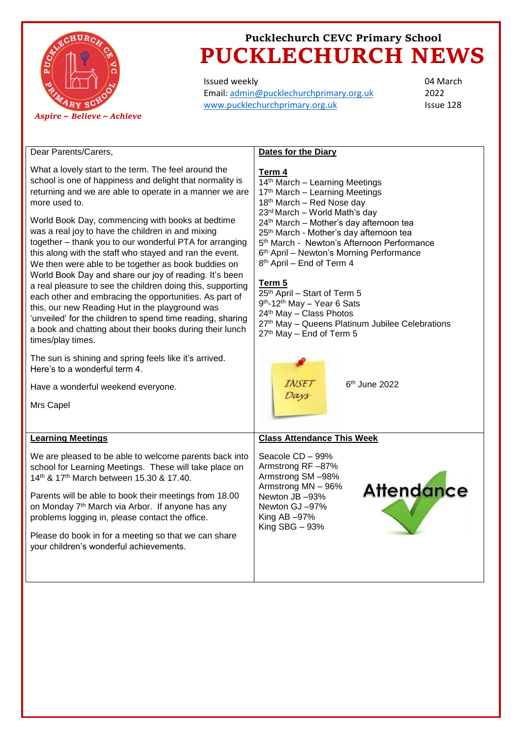

Issued weekly Email: [admin@pucklechurchprimary.org.uk](mailto:admin@pucklechurchprimary.org.uk) [www.pucklechurchprimary.org.uk](http://www.pucklechurchprimary.org.uk/)

04 March 2022 Issue 128

| Dear Parents/Carers,                                                                                                                                                                                                                                                                                                                                                                                                                                                                                                                                                                                                                                                                                                                                                                                                                                                                                                                                              | Dates for the Diary                                                                                                                                                                                                                                                                                                                                                                                                                                                                                                                                                                                                                                  |
|-------------------------------------------------------------------------------------------------------------------------------------------------------------------------------------------------------------------------------------------------------------------------------------------------------------------------------------------------------------------------------------------------------------------------------------------------------------------------------------------------------------------------------------------------------------------------------------------------------------------------------------------------------------------------------------------------------------------------------------------------------------------------------------------------------------------------------------------------------------------------------------------------------------------------------------------------------------------|------------------------------------------------------------------------------------------------------------------------------------------------------------------------------------------------------------------------------------------------------------------------------------------------------------------------------------------------------------------------------------------------------------------------------------------------------------------------------------------------------------------------------------------------------------------------------------------------------------------------------------------------------|
| What a lovely start to the term. The feel around the<br>school is one of happiness and delight that normality is<br>returning and we are able to operate in a manner we are<br>more used to.<br>World Book Day, commencing with books at bedtime<br>was a real joy to have the children in and mixing<br>together - thank you to our wonderful PTA for arranging<br>this along with the staff who stayed and ran the event.<br>We then were able to be together as book buddies on<br>World Book Day and share our joy of reading. It's been<br>a real pleasure to see the children doing this, supporting<br>each other and embracing the opportunities. As part of<br>this, our new Reading Hut in the playground was<br>'unveiled' for the children to spend time reading, sharing<br>a book and chatting about their books during their lunch<br>times/play times.<br>The sun is shining and spring feels like it's arrived.<br>Here's to a wonderful term 4. | Term 4<br>14 <sup>th</sup> March - Learning Meetings<br>17th March - Learning Meetings<br>18th March - Red Nose day<br>23rd March - World Math's day<br>24 <sup>th</sup> March - Mother's day afternoon tea<br>25 <sup>th</sup> March - Mother's day afternoon tea<br>5th March - Newton's Afternoon Performance<br>6th April - Newton's Morning Performance<br>8 <sup>th</sup> April - End of Term 4<br>Term 5<br>25 <sup>th</sup> April - Start of Term 5<br>9 <sup>th</sup> -12 <sup>th</sup> May - Year 6 Sats<br>24th May - Class Photos<br>27 <sup>th</sup> May - Queens Platinum Jubilee Celebrations<br>27 <sup>th</sup> May - End of Term 5 |
| Have a wonderful weekend everyone.<br>Mrs Capel                                                                                                                                                                                                                                                                                                                                                                                                                                                                                                                                                                                                                                                                                                                                                                                                                                                                                                                   | 6 <sup>th</sup> June 2022<br>Davs                                                                                                                                                                                                                                                                                                                                                                                                                                                                                                                                                                                                                    |
| <b>Learning Meetings</b>                                                                                                                                                                                                                                                                                                                                                                                                                                                                                                                                                                                                                                                                                                                                                                                                                                                                                                                                          | <b>Class Attendance This Week</b>                                                                                                                                                                                                                                                                                                                                                                                                                                                                                                                                                                                                                    |
| We are pleased to be able to welcome parents back into<br>school for Learning Meetings. These will take place on<br>14th & 17th March between 15.30 & 17.40.<br>Parents will be able to book their meetings from 18.00<br>on Monday 7 <sup>th</sup> March via Arbor. If anyone has any<br>problems logging in, please contact the office.<br>Please do book in for a meeting so that we can share<br>your children's wonderful achievements.                                                                                                                                                                                                                                                                                                                                                                                                                                                                                                                      | Seacole CD - 99%<br>Armstrong RF-87%<br>Armstrong SM-98%<br>Armstrong MN - 96%<br><b>Attendance</b><br>Newton JB-93%<br>Newton GJ-97%<br>King AB -97%<br>King $SBG - 93%$                                                                                                                                                                                                                                                                                                                                                                                                                                                                            |
|                                                                                                                                                                                                                                                                                                                                                                                                                                                                                                                                                                                                                                                                                                                                                                                                                                                                                                                                                                   |                                                                                                                                                                                                                                                                                                                                                                                                                                                                                                                                                                                                                                                      |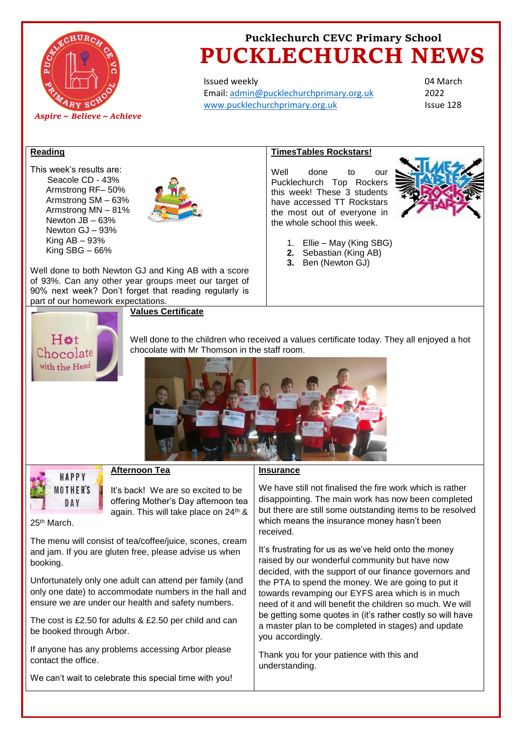

Issued weekly Email: [admin@pucklechurchprimary.org.uk](mailto:admin@pucklechurchprimary.org.uk) [www.pucklechurchprimary.org.uk](http://www.pucklechurchprimary.org.uk/)

04 March 2022 Issue 128

## **Reading**

This week's results are: Seacole CD - 43% Armstrong RF– 50% Armstrong SM – 63% Armstrong MN – 81% Newton  $J\bar{B} - 63%$ Newton GJ – 93% King  $AB - 93%$ King SBG – 66%



Well done to both Newton GJ and King AB with a score of 93%. Can any other year groups meet our target of 90% next week? Don't forget that reading regularly is part of our homework expectations.

### **Values Certificate**



Well done to the children who received a values certificate today. They all enjoyed a hot chocolate with Mr Thomson in the staff room.





#### **Afternoon Tea**

It's back! We are so excited to be offering Mother's Day afternoon tea again. This will take place on 24<sup>th</sup> &

25th March.

The menu will consist of tea/coffee/juice, scones, cream and jam. If you are gluten free, please advise us when booking.

Unfortunately only one adult can attend per family (and only one date) to accommodate numbers in the hall and ensure we are under our health and safety numbers.

The cost is £2.50 for adults & £2.50 per child and can be booked through Arbor.

If anyone has any problems accessing Arbor please contact the office.

We can't wait to celebrate this special time with you!

### **Insurance**

We have still not finalised the fire work which is rather disappointing. The main work has now been completed but there are still some outstanding items to be resolved which means the insurance money hasn't been received.

It's frustrating for us as we've held onto the money raised by our wonderful community but have now decided, with the support of our finance governors and the PTA to spend the money. We are going to put it towards revamping our EYFS area which is in much need of it and will benefit the children so much. We will be getting some quotes in (it's rather costly so will have a master plan to be completed in stages) and update you accordingly.

Thank you for your patience with this and understanding.



- 1. Ellie May (King SBG)
- **2.** Sebastian (King AB)
- **3.** Ben (Newton GJ)

the whole school this week.

**TimesTables Rockstars!**

Well done to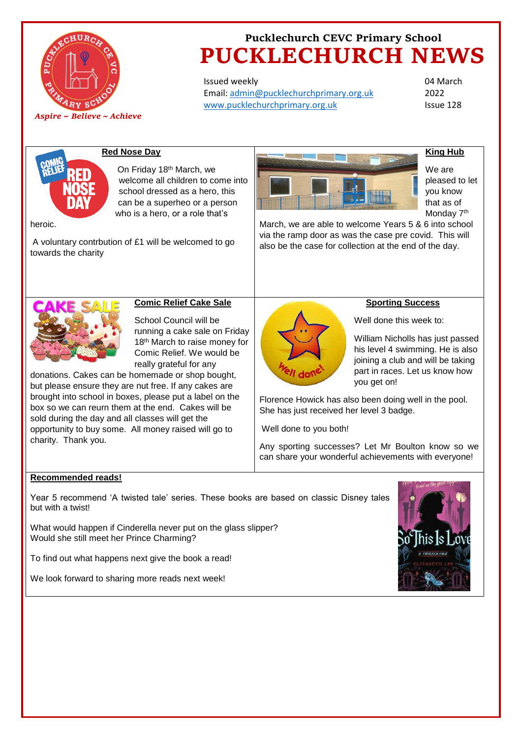

Issued weekly Email: [admin@pucklechurchprimary.org.uk](mailto:admin@pucklechurchprimary.org.uk) [www.pucklechurchprimary.org.uk](http://www.pucklechurchprimary.org.uk/)

04 March 2022 Issue 128



## **Red Nose Day**

On Friday 18th March, we welcome all children to come into school dressed as a hero, this can be a superheo or a person who is a hero, or a role that's

heroic.

A voluntary contrbution of £1 will be welcomed to go towards the charity



We are pleased to let you know that as of

Monday 7<sup>th</sup>

**King Hub**

March, we are able to welcome Years 5 & 6 into school via the ramp door as was the case pre covid. This will also be the case for collection at the end of the day.



## **Comic Relief Cake Sale**

School Council will be running a cake sale on Friday 18<sup>th</sup> March to raise money for Comic Relief. We would be really grateful for any

donations. Cakes can be homemade or shop bought, but please ensure they are nut free. If any cakes are brought into school in boxes, please put a label on the box so we can reurn them at the end. Cakes will be sold during the day and all classes will get the opportunity to buy some. All money raised will go to charity. Thank you.



## **Sporting Success**

Well done this week to:

William Nicholls has just passed his level 4 swimming. He is also joining a club and will be taking part in races. Let us know how you get on!

Florence Howick has also been doing well in the pool. She has just received her level 3 badge.

Well done to you both!

Any sporting successes? Let Mr Boulton know so we can share your wonderful achievements with everyone!

### **Recommended reads!**

Year 5 recommend 'A twisted tale' series. These books are based on classic Disney tales but with a twist!

What would happen if Cinderella never put on the glass slipper? Would she still meet her Prince Charming?

To find out what happens next give the book a read!

We look forward to sharing more reads next week!